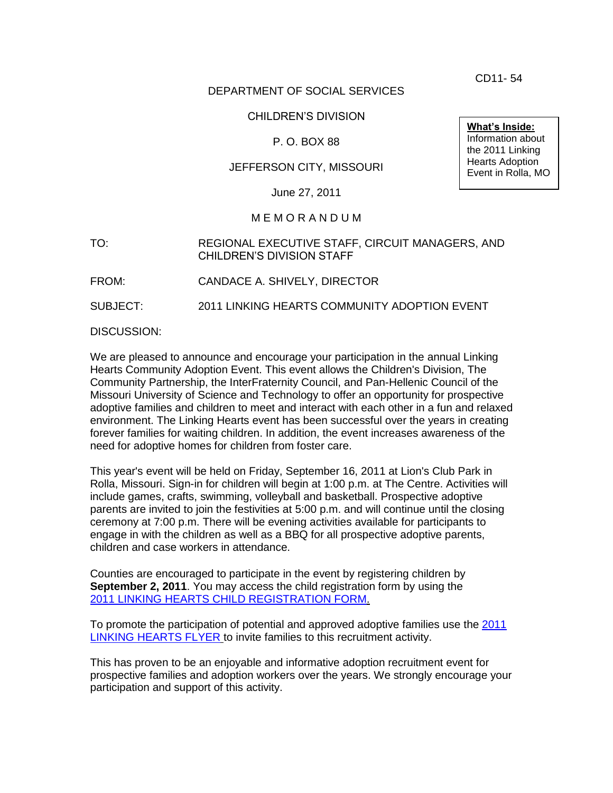CD11- 54

# DEPARTMENT OF SOCIAL SERVICES

# CHILDREN'S DIVISION

# P. O. BOX 88

# JEFFERSON CITY, MISSOURI

June 27, 2011

## M E M O R A N D U M

# TO: REGIONAL EXECUTIVE STAFF, CIRCUIT MANAGERS, AND CHILDREN'S DIVISION STAFF

FROM: CANDACE A. SHIVELY, DIRECTOR

SUBJECT: 2011 LINKING HEARTS COMMUNITY ADOPTION EVENT

DISCUSSION:

We are pleased to announce and encourage your participation in the annual Linking Hearts Community Adoption Event. This event allows the Children's Division, The Community Partnership, the InterFraternity Council, and Pan-Hellenic Council of the Missouri University of Science and Technology to offer an opportunity for prospective adoptive families and children to meet and interact with each other in a fun and relaxed environment. The Linking Hearts event has been successful over the years in creating forever families for waiting children. In addition, the event increases awareness of the need for adoptive homes for children from foster care.

This year's event will be held on Friday, September 16, 2011 at Lion's Club Park in Rolla, Missouri. Sign-in for children will begin at 1:00 p.m. at The Centre. Activities will include games, crafts, swimming, volleyball and basketball. Prospective adoptive parents are invited to join the festivities at 5:00 p.m. and will continue until the closing ceremony at 7:00 p.m. There will be evening activities available for participants to engage in with the children as well as a BBQ for all prospective adoptive parents, children and case workers in attendance.

Counties are encouraged to participate in the event by registering children by **September 2, 2011**. You may access the child registration form by using the 2011 [LINKING HEARTS CHILD REGISTRATION FORM.](http://dss.mo.gov/cd/info/memos/2011/cd11-054crg.pdf)

To promote the participation of potential and approved adoptive families use the [2011](http://dss.mo.gov/cd/info/memos/2011/cd11-054fly.pdf) [LINKING HEARTS FLYER](http://dss.mo.gov/cd/info/memos/2011/cd11-054fly.pdf) to invite families to this recruitment activity.

This has proven to be an enjoyable and informative adoption recruitment event for prospective families and adoption workers over the years. We strongly encourage your participation and support of this activity.

**What's Inside:** Information about the 2011 Linking Hearts Adoption Event in Rolla, MO